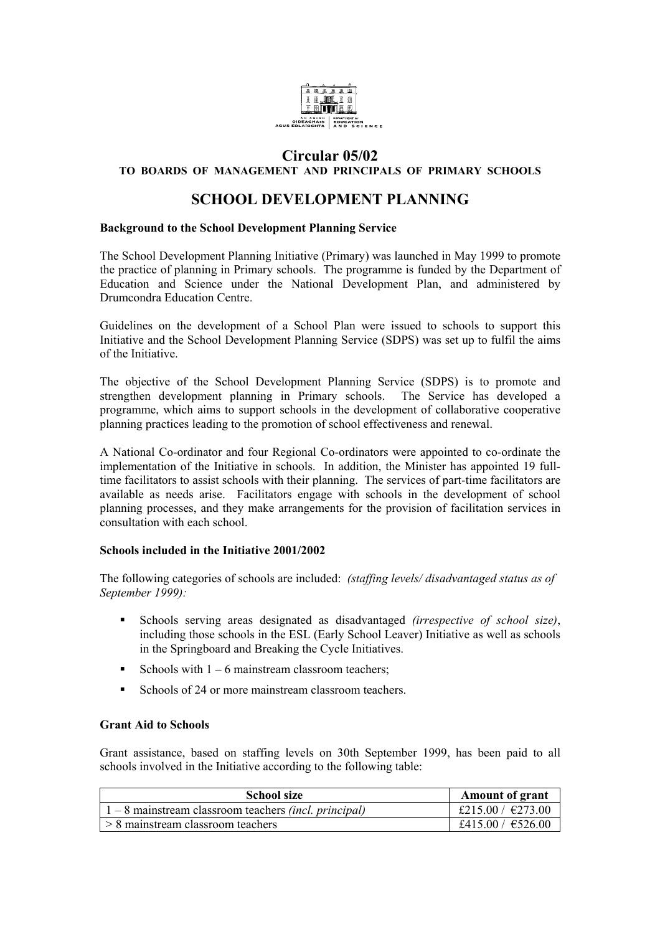

## **Circular 05/02**

### **TO BOARDS OF MANAGEMENT AND PRINCIPALS OF PRIMARY SCHOOLS**

# **SCHOOL DEVELOPMENT PLANNING**

#### **Background to the School Development Planning Service**

The School Development Planning Initiative (Primary) was launched in May 1999 to promote the practice of planning in Primary schools. The programme is funded by the Department of Education and Science under the National Development Plan, and administered by Drumcondra Education Centre.

Guidelines on the development of a School Plan were issued to schools to support this Initiative and the School Development Planning Service (SDPS) was set up to fulfil the aims of the Initiative.

The objective of the School Development Planning Service (SDPS) is to promote and strengthen development planning in Primary schools. The Service has developed a programme, which aims to support schools in the development of collaborative cooperative planning practices leading to the promotion of school effectiveness and renewal.

A National Co-ordinator and four Regional Co-ordinators were appointed to co-ordinate the implementation of the Initiative in schools. In addition, the Minister has appointed 19 fulltime facilitators to assist schools with their planning. The services of part-time facilitators are available as needs arise. Facilitators engage with schools in the development of school planning processes, and they make arrangements for the provision of facilitation services in consultation with each school.

#### **Schools included in the Initiative 2001/2002**

The following categories of schools are included: *(staffing levels/ disadvantaged status as of September 1999):* 

- Schools serving areas designated as disadvantaged *(irrespective of school size)*, including those schools in the ESL (Early School Leaver) Initiative as well as schools in the Springboard and Breaking the Cycle Initiatives.
- Schools with  $1 6$  mainstream classroom teachers:
- Schools of 24 or more mainstream classroom teachers.

#### **Grant Aid to Schools**

Grant assistance, based on staffing levels on 30th September 1999, has been paid to all schools involved in the Initiative according to the following table:

| <b>School size</b>                                             | <b>Amount of grant</b> |
|----------------------------------------------------------------|------------------------|
| $1 - 8$ mainstream classroom teachers <i>(incl. principal)</i> | £215.00 / $\in$ 273.00 |
| $\vert$ > 8 mainstream classroom teachers                      | £415.00 / $\in$ 526.00 |